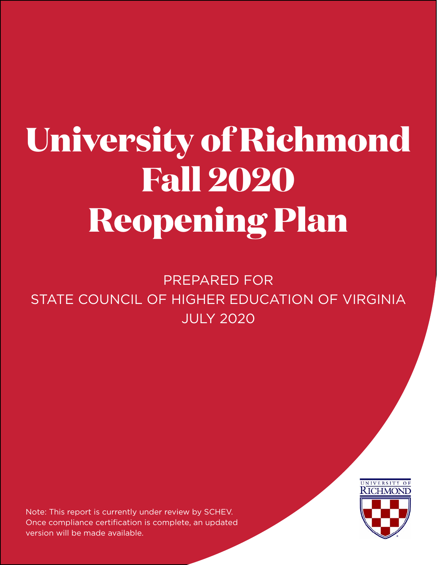# **University of Richmond Fall 2020 Reopening Plan**

PREPARED FOR STATE COUNCIL OF HIGHER EDUCATION OF VIRGINIA JULY 2020

Note: This report is currently under review by SCHEV. Once compliance certification is complete, an updated version will be made available.

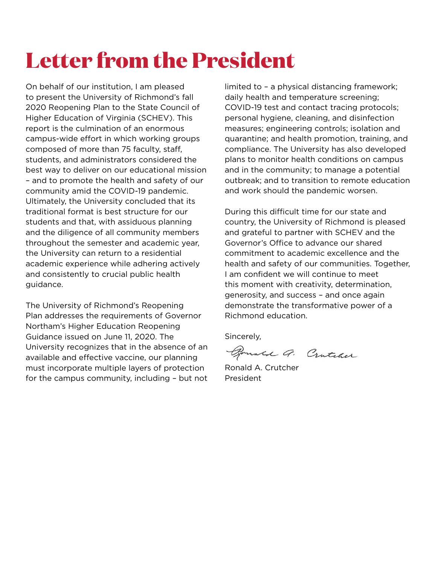## **Letter from the President**

On behalf of our institution, I am pleased to present the University of Richmond's fall 2020 Reopening Plan to the State Council of Higher Education of Virginia (SCHEV). This report is the culmination of an enormous campus-wide effort in which working groups composed of more than 75 faculty, staff, students, and administrators considered the best way to deliver on our educational mission – and to promote the health and safety of our community amid the COVID-19 pandemic. Ultimately, the University concluded that its traditional format is best structure for our students and that, with assiduous planning and the diligence of all community members throughout the semester and academic year, the University can return to a residential academic experience while adhering actively and consistently to crucial public health guidance.

The University of Richmond's Reopening Plan addresses the requirements of Governor Northam's Higher Education Reopening Guidance issued on June 11, 2020. The University recognizes that in the absence of an available and effective vaccine, our planning must incorporate multiple layers of protection for the campus community, including – but not

limited to – a physical distancing framework; daily health and temperature screening; COVID-19 test and contact tracing protocols; personal hygiene, cleaning, and disinfection measures; engineering controls; isolation and quarantine; and health promotion, training, and compliance. The University has also developed plans to monitor health conditions on campus and in the community; to manage a potential outbreak; and to transition to remote education and work should the pandemic worsen.

During this difficult time for our state and country, the University of Richmond is pleased and grateful to partner with SCHEV and the Governor's Office to advance our shared commitment to academic excellence and the health and safety of our communities. Together, I am confident we will continue to meet this moment with creativity, determination, generosity, and success – and once again demonstrate the transformative power of a Richmond education.

Sincerely,

Bounce G. Contract

Ronald A. Crutcher President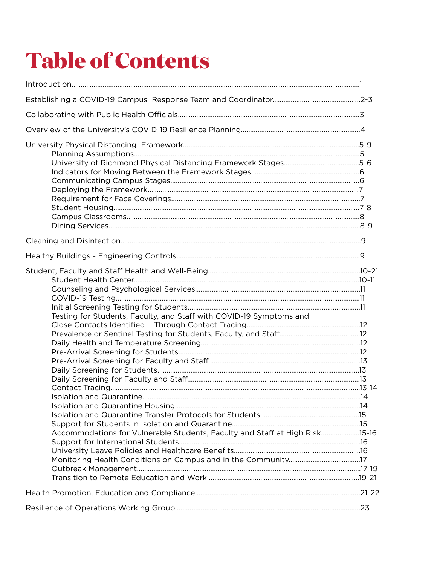## **Table of Contents**

| Testing for Students, Faculty, and Staff with COVID-19 Symptoms and<br>Accommodations for Vulnerable Students, Faculty and Staff at High Risk15-16 |  |
|----------------------------------------------------------------------------------------------------------------------------------------------------|--|
|                                                                                                                                                    |  |
|                                                                                                                                                    |  |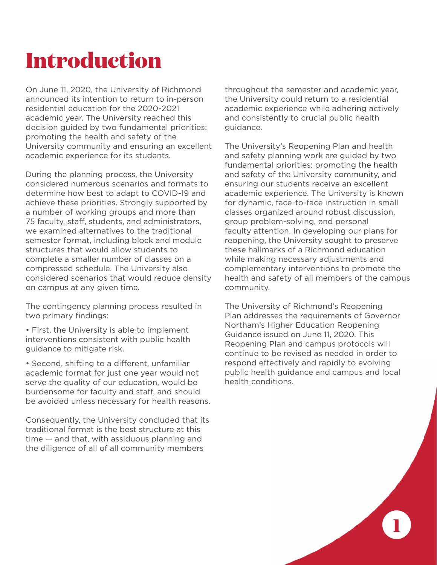## **Introduction**

On June 11, 2020, the University of Richmond announced its intention to return to in-person residential education for the 2020-2021 academic year. The University reached this decision guided by two fundamental priorities: promoting the health and safety of the University community and ensuring an excellent academic experience for its students.

During the planning process, the University considered numerous scenarios and formats to determine how best to adapt to COVID-19 and achieve these priorities. Strongly supported by a number of working groups and more than 75 faculty, staff, students, and administrators, we examined alternatives to the traditional semester format, including block and module structures that would allow students to complete a smaller number of classes on a compressed schedule. The University also considered scenarios that would reduce density on campus at any given time.

The contingency planning process resulted in two primary findings:

• First, the University is able to implement interventions consistent with public health guidance to mitigate risk.

• Second, shifting to a different, unfamiliar academic format for just one year would not serve the quality of our education, would be burdensome for faculty and staff, and should be avoided unless necessary for health reasons.

Consequently, the University concluded that its traditional format is the best structure at this time — and that, with assiduous planning and the diligence of all of all community members

throughout the semester and academic year, the University could return to a residential academic experience while adhering actively and consistently to crucial public health guidance.

The University's Reopening Plan and health and safety planning work are guided by two fundamental priorities: promoting the health and safety of the University community, and ensuring our students receive an excellent academic experience. The University is known for dynamic, face-to-face instruction in small classes organized around robust discussion, group problem-solving, and personal faculty attention. In developing our plans for reopening, the University sought to preserve these hallmarks of a Richmond education while making necessary adjustments and complementary interventions to promote the health and safety of all members of the campus community.

The University of Richmond's Reopening Plan addresses the requirements of Governor Northam's Higher Education Reopening Guidance issued on June 11, 2020. This Reopening Plan and campus protocols will continue to be revised as needed in order to respond effectively and rapidly to evolving public health guidance and campus and local health conditions.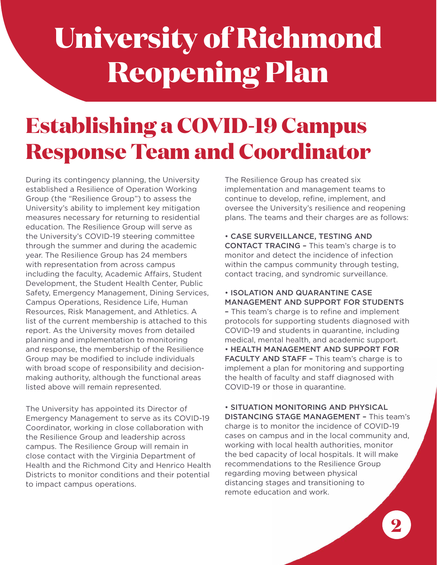## **University of Richmond Reopening Plan**

## **Establishing a COVID-19 Campus Response Team and Coordinator**

During its contingency planning, the University established a Resilience of Operation Working Group (the "Resilience Group") to assess the University's ability to implement key mitigation measures necessary for returning to residential education. The Resilience Group will serve as the University's COVID-19 steering committee through the summer and during the academic year. The Resilience Group has 24 members with representation from across campus including the faculty, Academic Affairs, Student Development, the Student Health Center, Public Safety, Emergency Management, Dining Services, Campus Operations, Residence Life, Human Resources, Risk Management, and Athletics. A list of the current membership is attached to this report. As the University moves from detailed planning and implementation to monitoring and response, the membership of the Resilience Group may be modified to include individuals with broad scope of responsibility and decisionmaking authority, although the functional areas listed above will remain represented.

The University has appointed its Director of Emergency Management to serve as its COVID-19 Coordinator, working in close collaboration with the Resilience Group and leadership across campus. The Resilience Group will remain in close contact with the Virginia Department of Health and the Richmond City and Henrico Health Districts to monitor conditions and their potential to impact campus operations.

The Resilience Group has created six implementation and management teams to continue to develop, refine, implement, and oversee the University's resilience and reopening plans. The teams and their charges are as follows:

• CASE SURVEILLANCE, TESTING AND CONTACT TRACING – This team's charge is to monitor and detect the incidence of infection within the campus community through testing. contact tracing, and syndromic surveillance.

• ISOLATION AND QUARANTINE CASE MANAGEMENT AND SUPPORT FOR STUDENTS – This team's charge is to refine and implement protocols for supporting students diagnosed with COVID-19 and students in quarantine, including medical, mental health, and academic support. • HEALTH MANAGEMENT AND SUPPORT FOR FACULTY AND STAFF - This team's charge is to implement a plan for monitoring and supporting the health of faculty and staff diagnosed with COVID-19 or those in quarantine.

• SITUATION MONITORING AND PHYSICAL DISTANCING STAGE MANAGEMENT – This team's charge is to monitor the incidence of COVID-19 cases on campus and in the local community and, working with local health authorities, monitor the bed capacity of local hospitals. It will make recommendations to the Resilience Group regarding moving between physical distancing stages and transitioning to remote education and work.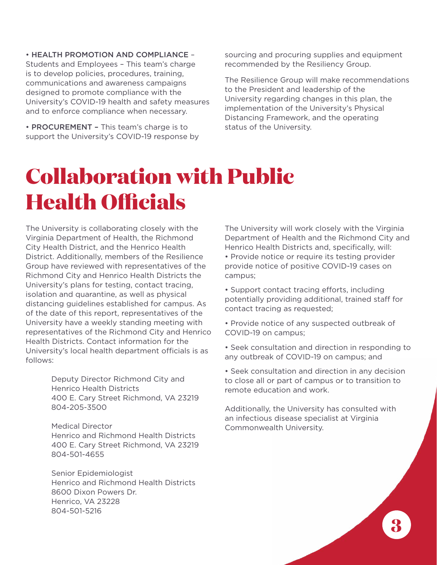• HEALTH PROMOTION AND COMPLIANCE – Students and Employees – This team's charge is to develop policies, procedures, training, communications and awareness campaigns designed to promote compliance with the University's COVID-19 health and safety measures and to enforce compliance when necessary.

• PROCUREMENT - This team's charge is to support the University's COVID-19 response by sourcing and procuring supplies and equipment recommended by the Resiliency Group.

The Resilience Group will make recommendations to the President and leadership of the University regarding changes in this plan, the implementation of the University's Physical Distancing Framework, and the operating status of the University.

## **Collaboration with Public Health Officials**

The University is collaborating closely with the Virginia Department of Health, the Richmond City Health District, and the Henrico Health District. Additionally, members of the Resilience Group have reviewed with representatives of the Richmond City and Henrico Health Districts the University's plans for testing, contact tracing, isolation and quarantine, as well as physical distancing guidelines established for campus. As of the date of this report, representatives of the University have a weekly standing meeting with representatives of the Richmond City and Henrico Health Districts. Contact information for the University's local health department officials is as follows:

> Deputy Director Richmond City and Henrico Health Districts 400 E. Cary Street Richmond, VA 23219 804-205-3500

> Medical Director Henrico and Richmond Health Districts 400 E. Cary Street Richmond, VA 23219 804-501-4655

Senior Epidemiologist Henrico and Richmond Health Districts 8600 Dixon Powers Dr. Henrico, VA 23228 804-501-5216

The University will work closely with the Virginia Department of Health and the Richmond City and Henrico Health Districts and, specifically, will: • Provide notice or require its testing provider provide notice of positive COVID-19 cases on campus;

- Support contact tracing efforts, including potentially providing additional, trained staff for contact tracing as requested;
- Provide notice of any suspected outbreak of COVID-19 on campus;
- Seek consultation and direction in responding to any outbreak of COVID-19 on campus; and
- Seek consultation and direction in any decision to close all or part of campus or to transition to remote education and work.

Additionally, the University has consulted with an infectious disease specialist at Virginia Commonwealth University.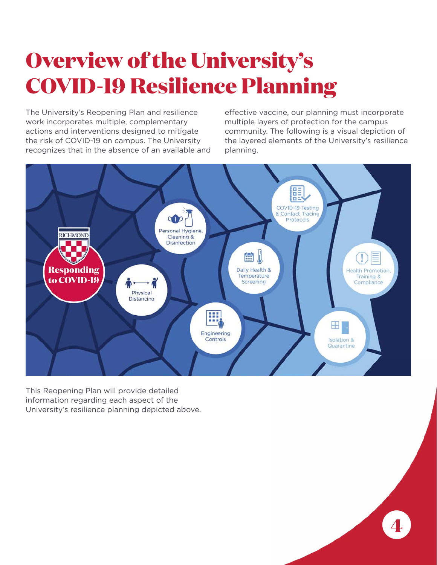## **Overview of the University's COVID-19 Resilience Planning**

The University's Reopening Plan and resilience work incorporates multiple, complementary actions and interventions designed to mitigate the risk of COVID-19 on campus. The University recognizes that in the absence of an available and effective vaccine, our planning must incorporate multiple layers of protection for the campus community. The following is a visual depiction of the layered elements of the University's resilience planning.



This Reopening Plan will provide detailed information regarding each aspect of the University's resilience planning depicted above.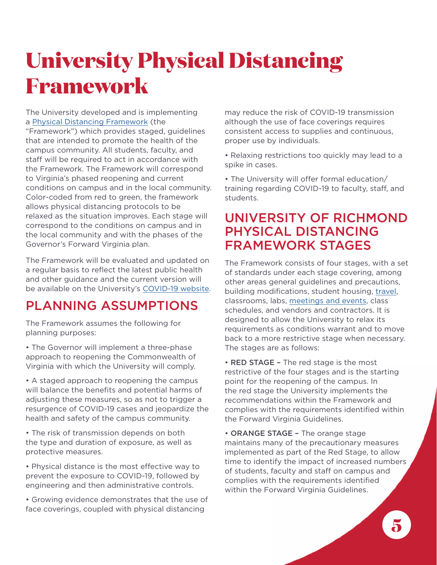## **University Physical Distancing Framework**

The University developed and is implementing a [Physical Distancing Framework](https://www.richmond.edu/coronavirus/_common/physical-distancing-framework.pdf) (the "Framework") which provides staged, guidelines that are intended to promote the health of the campus community. All students, faculty, and staff will be required to act in accordance with the Framework. The Framework will correspond to Virginia's phased reopening and current conditions on campus and in the local community. Color-coded from red to green, the framework allows physical distancing protocols to be relaxed as the situation improves. Each stage will correspond to the conditions on campus and in the local community and with the phases of the Governor's Forward Virginia plan.

The Framework will be evaluated and updated on a regular basis to reflect the latest public health and other guidance and the current version will be available on the University's [COVID-19 website.](https://www.richmond.edu/coronavirus/_common/physical-distancing-framework.pdf)

### PLANNING ASSUMPTIONS

The Framework assumes the following for planning purposes:

• The Governor will implement a three-phase approach to reopening the Commonwealth of Virginia with which the University will comply.

• A staged approach to reopening the campus will balance the benefits and potential harms of adjusting these measures, so as not to trigger a resurgence of COVID-19 cases and jeopardize the health and safety of the campus community.

• The risk of transmission depends on both the type and duration of exposure, as well as protective measures.

• Physical distance is the most effective way to prevent the exposure to COVID-19, followed by engineering and then administrative controls.

• Growing evidence demonstrates that the use of face coverings, coupled with physical distancing

may reduce the risk of COVID-19 transmission although the use of face coverings requires consistent access to supplies and continuous, proper use by individuals.

• Relaxing restrictions too quickly may lead to a spike in cases.

• The University will offer formal education/ training regarding COVID-19 to faculty, staff, and students.

#### UNIVERSITY OF RICHMOND PHYSICAL DISTANCING FRAMEWORK STAGES

The Framework consists of four stages, with a set of standards under each stage covering, among other areas general guidelines and precautions, building modifications, student housing, [travel](https://risk.richmond.edu/travel-registry/index.html), classrooms, labs, [meetings and events](https://www.richmond.edu/coronavirus/policies/index.html#on_campus_events), class schedules, and vendors and contractors. It is designed to allow the University to relax its requirements as conditions warrant and to move back to a more restrictive stage when necessary. The stages are as follows:

• RED STAGE – The red stage is the most restrictive of the four stages and is the starting point for the reopening of the campus. In the red stage the University implements the recommendations within the Framework and complies with the requirements identified within the Forward Virginia Guidelines.

• ORANGE STAGE - The orange stage maintains many of the precautionary measures implemented as part of the Red Stage, to allow time to identify the impact of increased numbers of students, faculty and staff on campus and complies with the requirements identified within the Forward Virginia Guidelines.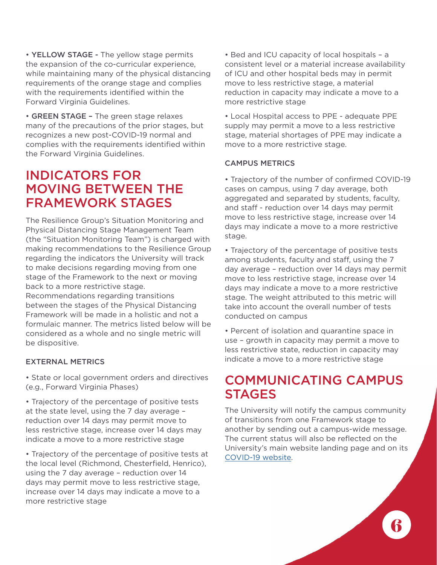• YELLOW STAGE - The yellow stage permits the expansion of the co-curricular experience, while maintaining many of the physical distancing requirements of the orange stage and complies with the requirements identified within the Forward Virginia Guidelines.

• GREEN STAGE – The green stage relaxes many of the precautions of the prior stages, but recognizes a new post-COVID-19 normal and complies with the requirements identified within the Forward Virginia Guidelines.

#### INDICATORS FOR MOVING BETWEEN THE FRAMEWORK STAGES

The Resilience Group's Situation Monitoring and Physical Distancing Stage Management Team (the "Situation Monitoring Team") is charged with making recommendations to the Resilience Group regarding the indicators the University will track to make decisions regarding moving from one stage of the Framework to the next or moving back to a more restrictive stage.

Recommendations regarding transitions between the stages of the Physical Distancing Framework will be made in a holistic and not a formulaic manner. The metrics listed below will be considered as a whole and no single metric will be dispositive.

#### EXTERNAL METRICS

• State or local government orders and directives (e.g., Forward Virginia Phases)

• Trajectory of the percentage of positive tests at the state level, using the 7 day average – reduction over 14 days may permit move to less restrictive stage, increase over 14 days may indicate a move to a more restrictive stage

• Trajectory of the percentage of positive tests at the local level (Richmond, Chesterfield, Henrico), using the 7 day average – reduction over 14 days may permit move to less restrictive stage, increase over 14 days may indicate a move to a more restrictive stage

• Bed and ICU capacity of local hospitals – a consistent level or a material increase availability of ICU and other hospital beds may in permit move to less restrictive stage, a material reduction in capacity may indicate a move to a more restrictive stage

• Local Hospital access to PPE - adequate PPE supply may permit a move to a less restrictive stage, material shortages of PPE may indicate a move to a more restrictive stage.

#### CAMPUS METRICS

• Trajectory of the number of confirmed COVID-19 cases on campus, using 7 day average, both aggregated and separated by students, faculty, and staff - reduction over 14 days may permit move to less restrictive stage, increase over 14 days may indicate a move to a more restrictive stage.

• Trajectory of the percentage of positive tests among students, faculty and staff, using the 7 day average – reduction over 14 days may permit move to less restrictive stage, increase over 14 days may indicate a move to a more restrictive stage. The weight attributed to this metric will take into account the overall number of tests conducted on campus

• Percent of isolation and quarantine space in use – growth in capacity may permit a move to less restrictive state, reduction in capacity may indicate a move to a more restrictive stage

#### COMMUNICATING CAMPUS **STAGES**

The University will notify the campus community of transitions from one Framework stage to another by sending out a campus-wide message. The current status will also be reflected on the University's main website landing page and on its [COVID-19 website.](https://www.richmond.edu/coronavirus/index.html)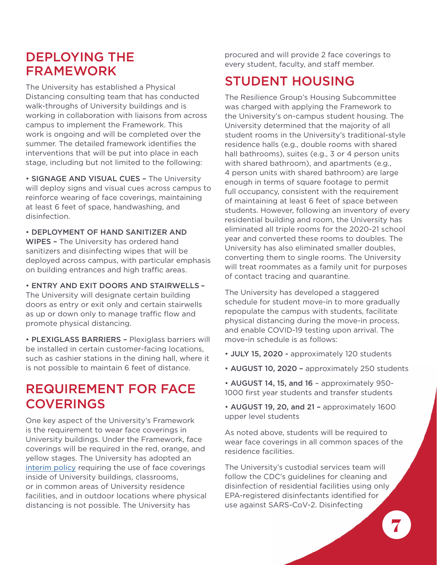#### DEPLOYING THE FRAMEWORK

The University has established a Physical Distancing consulting team that has conducted walk-throughs of University buildings and is working in collaboration with liaisons from across campus to implement the Framework. This work is ongoing and will be completed over the summer. The detailed framework identifies the interventions that will be put into place in each stage, including but not limited to the following:

• SIGNAGE AND VISUAL CUES – The University will deploy signs and visual cues across campus to reinforce wearing of face coverings, maintaining at least 6 feet of space, handwashing, and disinfection.

• DEPLOYMENT OF HAND SANITIZER AND WIPES – The University has ordered hand sanitizers and disinfecting wipes that will be deployed across campus, with particular emphasis on building entrances and high traffic areas.

• ENTRY AND EXIT DOORS AND STAIRWELLS – The University will designate certain building doors as entry or exit only and certain stairwells as up or down only to manage traffic flow and promote physical distancing.

• PLEXIGLASS BARRIERS – Plexiglass barriers will be installed in certain customer-facing locations, such as cashier stations in the dining hall, where it is not possible to maintain 6 feet of distance.

#### REQUIREMENT FOR FACE COVERINGS

One key aspect of the University's Framework is the requirement to wear face coverings in University buildings. Under the Framework, face coverings will be required in the red, orange, and yellow stages. The University has adopted an [interim policy](https://www.richmond.edu/coronavirus/policies/#face_coverings) requiring the use of face coverings inside of University buildings, classrooms, or in common areas of University residence facilities, and in outdoor locations where physical distancing is not possible. The University has

procured and will provide 2 face coverings to every student, faculty, and staff member.

### STUDENT HOUSING

The Resilience Group's Housing Subcommittee was charged with applying the Framework to the University's on-campus student housing. The University determined that the majority of all student rooms in the University's traditional-style residence halls (e.g., double rooms with shared hall bathrooms), suites (e.g., 3 or 4 person units with shared bathroom), and apartments (e.g., 4 person units with shared bathroom) are large enough in terms of square footage to permit full occupancy, consistent with the requirement of maintaining at least 6 feet of space between students. However, following an inventory of every residential building and room, the University has eliminated all triple rooms for the 2020-21 school year and converted these rooms to doubles. The University has also eliminated smaller doubles, converting them to single rooms. The University will treat roommates as a family unit for purposes of contact tracing and quarantine.

The University has developed a staggered schedule for student move-in to more gradually repopulate the campus with students, facilitate physical distancing during the move-in process, and enable COVID-19 testing upon arrival. The move-in schedule is as follows:

- JULY 15, 2020 approximately 120 students
- AUGUST 10, 2020 approximately 250 students
- AUGUST 14, 15, and 16 approximately 950- 1000 first year students and transfer students
- AUGUST 19, 20, and 21 approximately 1600 upper level students

As noted above, students will be required to wear face coverings in all common spaces of the residence facilities.

The University's custodial services team will follow the CDC's guidelines for cleaning and disinfection of residential facilities using only EPA-registered disinfectants identified for use against SARS-CoV-2. Disinfecting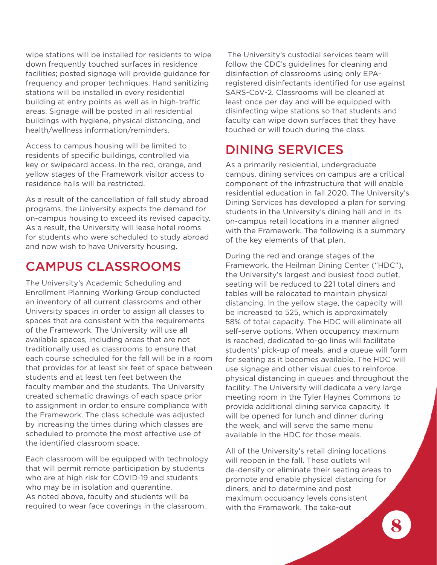wipe stations will be installed for residents to wipe down frequently touched surfaces in residence facilities; posted signage will provide guidance for frequency and proper techniques. Hand sanitizing stations will be installed in every residential building at entry points as well as in high-traffic areas. Signage will be posted in all residential buildings with hygiene, physical distancing, and health/wellness information/reminders.

Access to campus housing will be limited to residents of specific buildings, controlled via key or swipecard access. In the red, orange, and yellow stages of the Framework visitor access to residence halls will be restricted.

As a result of the cancellation of fall study abroad programs, the University expects the demand for on-campus housing to exceed its revised capacity. As a result, the University will lease hotel rooms for students who were scheduled to study abroad and now wish to have University housing.

### CAMPUS CLASSROOMS

The University's Academic Scheduling and Enrollment Planning Working Group conducted an inventory of all current classrooms and other University spaces in order to assign all classes to spaces that are consistent with the requirements of the Framework. The University will use all available spaces, including areas that are not traditionally used as classrooms to ensure that each course scheduled for the fall will be in a room that provides for at least six feet of space between students and at least ten feet between the faculty member and the students. The University created schematic drawings of each space prior to assignment in order to ensure compliance with the Framework. The class schedule was adjusted by increasing the times during which classes are scheduled to promote the most effective use of the identified classroom space.

Each classroom will be equipped with technology that will permit remote participation by students who are at high risk for COVID-19 and students who may be in isolation and quarantine. As noted above, faculty and students will be required to wear face coverings in the classroom.

The University's custodial services team will follow the CDC's guidelines for cleaning and disinfection of classrooms using only EPAregistered disinfectants identified for use against SARS-CoV-2. Classrooms will be cleaned at least once per day and will be equipped with disinfecting wipe stations so that students and faculty can wipe down surfaces that they have touched or will touch during the class.

### DINING SERVICES

As a primarily residential, undergraduate campus, dining services on campus are a critical component of the infrastructure that will enable residential education in fall 2020. The University's Dining Services has developed a plan for serving students in the University's dining hall and in its on-campus retail locations in a manner aligned with the Framework. The following is a summary of the key elements of that plan.

During the red and orange stages of the Framework, the Heilman Dining Center ("HDC"), the University's largest and busiest food outlet, seating will be reduced to 221 total diners and tables will be relocated to maintain physical distancing. In the yellow stage, the capacity will be increased to 525, which is approximately 58% of total capacity. The HDC will eliminate all self-serve options. When occupancy maximum is reached, dedicated to-go lines will facilitate students' pick-up of meals, and a queue will form for seating as it becomes available. The HDC will use signage and other visual cues to reinforce physical distancing in queues and throughout the facility. The University will dedicate a very large meeting room in the Tyler Haynes Commons to provide additional dining service capacity. It will be opened for lunch and dinner during the week, and will serve the same menu available in the HDC for those meals.

All of the University's retail dining locations will reopen in the fall. These outlets will de-densify or eliminate their seating areas to promote and enable physical distancing for diners, and to determine and post maximum occupancy levels consistent with the Framework. The take-out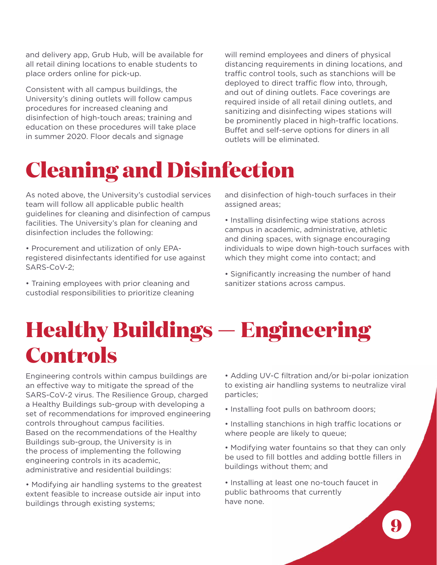and delivery app, Grub Hub, will be available for all retail dining locations to enable students to place orders online for pick-up.

Consistent with all campus buildings, the University's dining outlets will follow campus procedures for increased cleaning and disinfection of high-touch areas; training and education on these procedures will take place in summer 2020. Floor decals and signage

will remind employees and diners of physical distancing requirements in dining locations, and traffic control tools, such as stanchions will be deployed to direct traffic flow into, through, and out of dining outlets. Face coverings are required inside of all retail dining outlets, and sanitizing and disinfecting wipes stations will be prominently placed in high-traffic locations. Buffet and self-serve options for diners in all outlets will be eliminated.

### **Cleaning and Disinfection**

As noted above, the University's custodial services team will follow all applicable public health guidelines for cleaning and disinfection of campus facilities. The University's plan for cleaning and disinfection includes the following:

• Procurement and utilization of only EPAregistered disinfectants identified for use against SARS-CoV-2;

• Training employees with prior cleaning and custodial responsibilities to prioritize cleaning and disinfection of high-touch surfaces in their assigned areas;

• Installing disinfecting wipe stations across campus in academic, administrative, athletic and dining spaces, with signage encouraging individuals to wipe down high-touch surfaces with which they might come into contact; and

• Significantly increasing the number of hand sanitizer stations across campus.

### **Healthy Buildings** — **Engineering Controls**

Engineering controls within campus buildings are an effective way to mitigate the spread of the SARS-CoV-2 virus. The Resilience Group, charged a Healthy Buildings sub-group with developing a set of recommendations for improved engineering controls throughout campus facilities. Based on the recommendations of the Healthy Buildings sub-group, the University is in the process of implementing the following engineering controls in its academic, administrative and residential buildings:

• Modifying air handling systems to the greatest extent feasible to increase outside air input into buildings through existing systems;

• Adding UV-C filtration and/or bi-polar ionization to existing air handling systems to neutralize viral particles;

- Installing foot pulls on bathroom doors;
- Installing stanchions in high traffic locations or where people are likely to queue;

• Modifying water fountains so that they can only be used to fill bottles and adding bottle fillers in buildings without them; and

• Installing at least one no-touch faucet in public bathrooms that currently have none.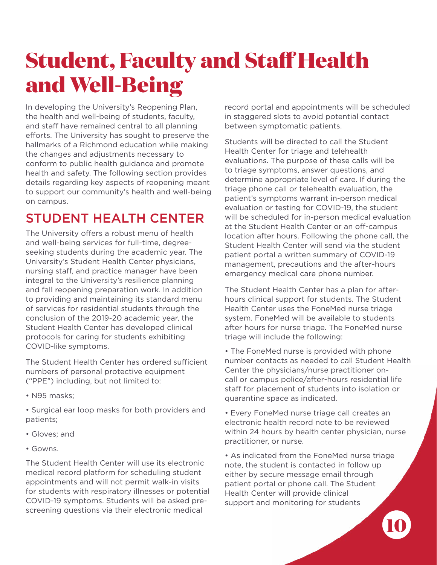## **Student, Faculty and Staff Health and Well-Being**

In developing the University's Reopening Plan, the health and well-being of students, faculty, and staff have remained central to all planning efforts. The University has sought to preserve the hallmarks of a Richmond education while making the changes and adjustments necessary to conform to public health guidance and promote health and safety. The following section provides details regarding key aspects of reopening meant to support our community's health and well-being on campus.

### STUDENT HEALTH CENTER

The University offers a robust menu of health and well-being services for full-time, degreeseeking students during the academic year. The University's Student Health Center physicians, nursing staff, and practice manager have been integral to the University's resilience planning and fall reopening preparation work. In addition to providing and maintaining its standard menu of services for residential students through the conclusion of the 2019-20 academic year, the Student Health Center has developed clinical protocols for caring for students exhibiting COVID-like symptoms.

The Student Health Center has ordered sufficient numbers of personal protective equipment ("PPE") including, but not limited to:

• N95 masks;

• Surgical ear loop masks for both providers and patients;

- Gloves; and
- Gowns.

The Student Health Center will use its electronic medical record platform for scheduling student appointments and will not permit walk-in visits for students with respiratory illnesses or potential COVID-19 symptoms. Students will be asked prescreening questions via their electronic medical

record portal and appointments will be scheduled in staggered slots to avoid potential contact between symptomatic patients.

Students will be directed to call the Student Health Center for triage and telehealth evaluations. The purpose of these calls will be to triage symptoms, answer questions, and determine appropriate level of care. If during the triage phone call or telehealth evaluation, the patient's symptoms warrant in-person medical evaluation or testing for COVID-19, the student will be scheduled for in-person medical evaluation at the Student Health Center or an off-campus location after hours. Following the phone call, the Student Health Center will send via the student patient portal a written summary of COVID-19 management, precautions and the after-hours emergency medical care phone number.

The Student Health Center has a plan for afterhours clinical support for students. The Student Health Center uses the FoneMed nurse triage system. FoneMed will be available to students after hours for nurse triage. The FoneMed nurse triage will include the following:

• The FoneMed nurse is provided with phone number contacts as needed to call Student Health Center the physicians/nurse practitioner oncall or campus police/after-hours residential life staff for placement of students into isolation or quarantine space as indicated.

• Every FoneMed nurse triage call creates an electronic health record note to be reviewed within 24 hours by health center physician, nurse practitioner, or nurse.

• As indicated from the FoneMed nurse triage note, the student is contacted in follow up either by secure message email through patient portal or phone call. The Student Health Center will provide clinical support and monitoring for students

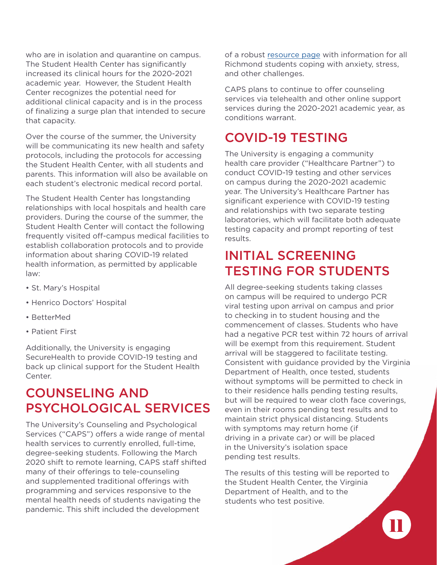who are in isolation and quarantine on campus. The Student Health Center has significantly increased its clinical hours for the 2020-2021 academic year. However, the Student Health Center recognizes the potential need for additional clinical capacity and is in the process of finalizing a surge plan that intended to secure that capacity.

Over the course of the summer, the University will be communicating its new health and safety protocols, including the protocols for accessing the Student Health Center, with all students and parents. This information will also be available on each student's electronic medical record portal.

The Student Health Center has longstanding relationships with local hospitals and health care providers. During the course of the summer, the Student Health Center will contact the following frequently visited off-campus medical facilities to establish collaboration protocols and to provide information about sharing COVID-19 related health information, as permitted by applicable law:

- St. Mary's Hospital
- Henrico Doctors' Hospital
- BetterMed
- Patient First

Additionally, the University is engaging SecureHealth to provide COVID-19 testing and back up clinical support for the Student Health Center.

### COUNSELING AND PSYCHOLOGICAL SERVICES

The University's Counseling and Psychological Services ("CAPS") offers a wide range of mental health services to currently enrolled, full-time, degree-seeking students. Following the March 2020 shift to remote learning, CAPS staff shifted many of their offerings to tele-counseling and supplemented traditional offerings with programming and services responsive to the mental health needs of students navigating the pandemic. This shift included the development

of a robust [resource page](https://caps.richmond.edu/services/covid-19-caps-services.html) with information for all Richmond students coping with anxiety, stress, and other challenges.

CAPS plans to continue to offer counseling services via telehealth and other online support services during the 2020-2021 academic year, as conditions warrant.

### COVID-19 TESTING

The University is engaging a community health care provider ("Healthcare Partner") to conduct COVID-19 testing and other services on campus during the 2020-2021 academic year. The University's Healthcare Partner has significant experience with COVID-19 testing and relationships with two separate testing laboratories, which will facilitate both adequate testing capacity and prompt reporting of test results.

### INITIAL SCREENING TESTING FOR STUDENTS

All degree-seeking students taking classes on campus will be required to undergo PCR viral testing upon arrival on campus and prior to checking in to student housing and the commencement of classes. Students who have had a negative PCR test within 72 hours of arrival will be exempt from this requirement. Student arrival will be staggered to facilitate testing. Consistent with guidance provided by the Virginia Department of Health, once tested, students without symptoms will be permitted to check in to their residence halls pending testing results, but will be required to wear cloth face coverings, even in their rooms pending test results and to maintain strict physical distancing. Students with symptoms may return home (if driving in a private car) or will be placed in the University's isolation space pending test results.

The results of this testing will be reported to the Student Health Center, the Virginia Department of Health, and to the students who test positive.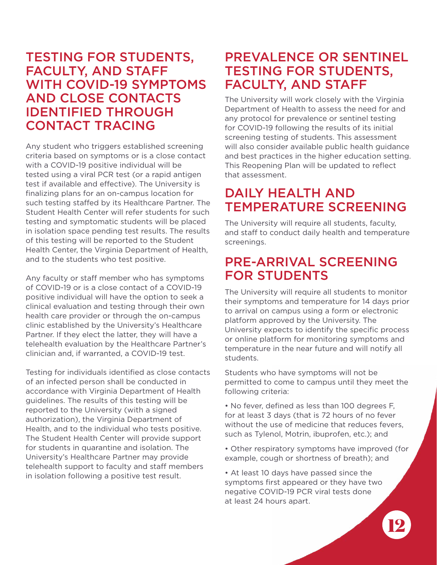#### TESTING FOR STUDENTS, FACULTY, AND STAFF WITH COVID-19 SYMPTOMS AND CLOSE CONTACTS IDENTIFIED THROUGH CONTACT TRACING

Any student who triggers established screening criteria based on symptoms or is a close contact with a COVID-19 positive individual will be tested using a viral PCR test (or a rapid antigen test if available and effective). The University is finalizing plans for an on-campus location for such testing staffed by its Healthcare Partner. The Student Health Center will refer students for such testing and symptomatic students will be placed in isolation space pending test results. The results of this testing will be reported to the Student Health Center, the Virginia Department of Health, and to the students who test positive.

Any faculty or staff member who has symptoms of COVID-19 or is a close contact of a COVID-19 positive individual will have the option to seek a clinical evaluation and testing through their own health care provider or through the on-campus clinic established by the University's Healthcare Partner. If they elect the latter, they will have a telehealth evaluation by the Healthcare Partner's clinician and, if warranted, a COVID-19 test.

Testing for individuals identified as close contacts of an infected person shall be conducted in accordance with Virginia Department of Health guidelines. The results of this testing will be reported to the University (with a signed authorization), the Virginia Department of Health, and to the individual who tests positive. The Student Health Center will provide support for students in quarantine and isolation. The University's Healthcare Partner may provide telehealth support to faculty and staff members in isolation following a positive test result.

#### PREVALENCE OR SENTINEL TESTING FOR STUDENTS, FACULTY, AND STAFF

The University will work closely with the Virginia Department of Health to assess the need for and any protocol for prevalence or sentinel testing for COVID-19 following the results of its initial screening testing of students. This assessment will also consider available public health guidance and best practices in the higher education setting. This Reopening Plan will be updated to reflect that assessment.

#### DAILY HEALTH AND TEMPERATURE SCREENING

The University will require all students, faculty, and staff to conduct daily health and temperature screenings.

#### PRE-ARRIVAL SCREENING FOR STUDENTS

The University will require all students to monitor their symptoms and temperature for 14 days prior to arrival on campus using a form or electronic platform approved by the University. The University expects to identify the specific process or online platform for monitoring symptoms and temperature in the near future and will notify all students.

Students who have symptoms will not be permitted to come to campus until they meet the following criteria:

- No fever, defined as less than 100 degrees F, for at least 3 days (that is 72 hours of no fever without the use of medicine that reduces fevers, such as Tylenol, Motrin, ibuprofen, etc.); and
- Other respiratory symptoms have improved (for example, cough or shortness of breath); and

• At least 10 days have passed since the symptoms first appeared or they have two negative COVID-19 PCR viral tests done at least 24 hours apart.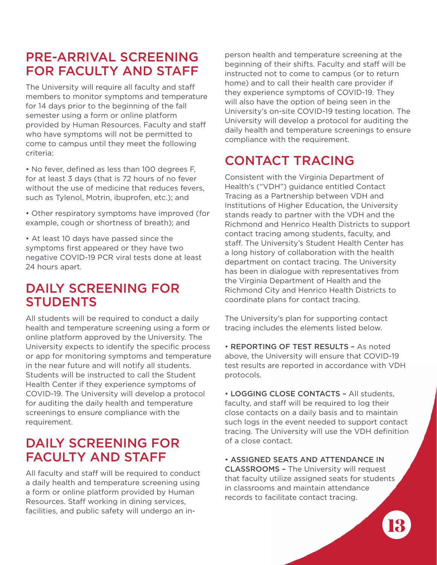#### PRE-ARRIVAL SCREENING FOR FACULTY AND STAFF

The University will require all faculty and staff members to monitor symptoms and temperature for 14 days prior to the beginning of the fall semester using a form or online platform provided by Human Resources. Faculty and staff who have symptoms will not be permitted to come to campus until they meet the following criteria:

• No fever, defined as less than 100 degrees F, for at least 3 days (that is 72 hours of no fever without the use of medicine that reduces fevers, such as Tylenol, Motrin, ibuprofen, etc.); and

• Other respiratory symptoms have improved (for example, cough or shortness of breath); and

• At least 10 days have passed since the symptoms first appeared or they have two negative COVID-19 PCR viral tests done at least 24 hours apart.

#### DAILY SCREENING FOR **STUDENTS**

All students will be required to conduct a daily health and temperature screening using a form or online platform approved by the University. The University expects to identify the specific process or app for monitoring symptoms and temperature in the near future and will notify all students. Students will be instructed to call the Student Health Center if they experience symptoms of COVID-19. The University will develop a protocol for auditing the daily health and temperature screenings to ensure compliance with the requirement.

#### DAILY SCREENING FOR FACULTY AND STAFF

All faculty and staff will be required to conduct a daily health and temperature screening using a form or online platform provided by Human Resources. Staff working in dining services, facilities, and public safety will undergo an inperson health and temperature screening at the beginning of their shifts. Faculty and staff will be instructed not to come to campus (or to return home) and to call their health care provider if they experience symptoms of COVID-19. They will also have the option of being seen in the University's on-site COVID-19 testing location. The University will develop a protocol for auditing the daily health and temperature screenings to ensure compliance with the requirement.

### CONTACT TRACING

Consistent with the Virginia Department of Health's ("VDH") guidance entitled Contact Tracing as a Partnership between VDH and Institutions of Higher Education, the University stands ready to partner with the VDH and the Richmond and Henrico Health Districts to support contact tracing among students, faculty, and staff. The University's Student Health Center has a long history of collaboration with the health department on contact tracing. The University has been in dialogue with representatives from the Virginia Department of Health and the Richmond City and Henrico Health Districts to coordinate plans for contact tracing.

The University's plan for supporting contact tracing includes the elements listed below.

• REPORTING OF TEST RESULTS – As noted above, the University will ensure that COVID-19 test results are reported in accordance with VDH protocols.

• LOGGING CLOSE CONTACTS – All students, faculty, and staff will be required to log their close contacts on a daily basis and to maintain such logs in the event needed to support contact tracing. The University will use the VDH definition of a close contact.

• ASSIGNED SEATS AND ATTENDANCE IN CLASSROOMS – The University will request that faculty utilize assigned seats for students in classrooms and maintain attendance records to facilitate contact tracing.

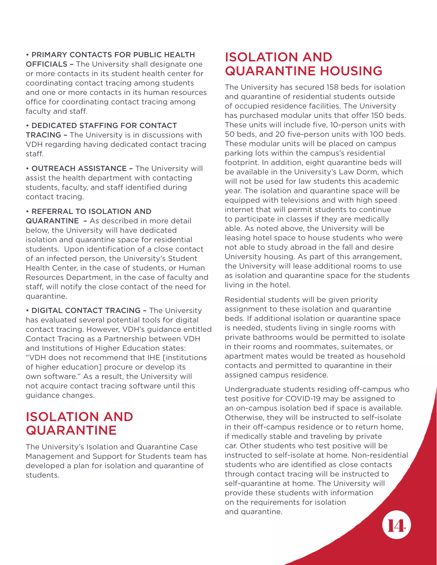#### • PRIMARY CONTACTS FOR PUBLIC HEALTH

OFFICIALS – The University shall designate one or more contacts in its student health center for coordinating contact tracing among students and one or more contacts in its human resources office for coordinating contact tracing among faculty and staff.

• DEDICATED STAFFING FOR CONTACT TRACING – The University is in discussions with VDH regarding having dedicated contact tracing staff.

• OUTREACH ASSISTANCE – The University will assist the health department with contacting students, faculty, and staff identified during contact tracing.

#### • REFERRAL TO ISOLATION AND

QUARANTINE – As described in more detail below, the University will have dedicated isolation and quarantine space for residential students. Upon identification of a close contact of an infected person, the University's Student Health Center, in the case of students, or Human Resources Department, in the case of faculty and staff, will notify the close contact of the need for quarantine.

• DIGITAL CONTACT TRACING – The University has evaluated several potential tools for digital contact tracing. However, VDH's guidance entitled Contact Tracing as a Partnership between VDH and Institutions of Higher Education states: "VDH does not recommend that IHE [institutions of higher education] procure or develop its own software." As a result, the University will not acquire contact tracing software until this guidance changes.

#### ISOLATION AND QUARANTINE

The University's Isolation and Quarantine Case Management and Support for Students team has developed a plan for isolation and quarantine of students.

#### ISOLATION AND QUARANTINE HOUSING

The University has secured 158 beds for isolation and quarantine of residential students outside of occupied residence facilities. The University has purchased modular units that offer 150 beds. These units will include five, 10-person units with 50 beds, and 20 five-person units with 100 beds. These modular units will be placed on campus parking lots within the campus's residential footprint. In addition, eight quarantine beds will be available in the University's Law Dorm, which will not be used for law students this academic year. The isolation and quarantine space will be equipped with televisions and with high speed internet that will permit students to continue to participate in classes if they are medically able. As noted above, the University will be leasing hotel space to house students who were not able to study abroad in the fall and desire University housing. As part of this arrangement, the University will lease additional rooms to use as isolation and quarantine space for the students living in the hotel.

Residential students will be given priority assignment to these isolation and quarantine beds. If additional isolation or quarantine space is needed, students living in single rooms with private bathrooms would be permitted to isolate in their rooms and roommates, suitemates, or apartment mates would be treated as household contacts and permitted to quarantine in their assigned campus residence.

Undergraduate students residing off-campus who test positive for COVID-19 may be assigned to an on-campus isolation bed if space is available. Otherwise, they will be instructed to self-isolate in their off-campus residence or to return home, if medically stable and traveling by private car. Other students who test positive will be instructed to self-isolate at home. Non-residential students who are identified as close contacts through contact tracing will be instructed to self-quarantine at home. The University will provide these students with information on the requirements for isolation and quarantine.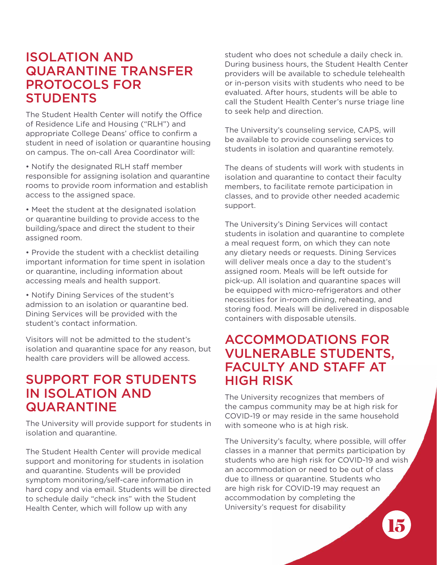#### ISOLATION AND QUARANTINE TRANSFER PROTOCOLS FOR **STUDENTS**

The Student Health Center will notify the Office of Residence Life and Housing ("RLH") and appropriate College Deans' office to confirm a student in need of isolation or quarantine housing on campus. The on-call Area Coordinator will:

• Notify the designated RLH staff member responsible for assigning isolation and quarantine rooms to provide room information and establish access to the assigned space.

• Meet the student at the designated isolation or quarantine building to provide access to the building/space and direct the student to their assigned room.

• Provide the student with a checklist detailing important information for time spent in isolation or quarantine, including information about accessing meals and health support.

• Notify Dining Services of the student's admission to an isolation or quarantine bed. Dining Services will be provided with the student's contact information.

Visitors will not be admitted to the student's isolation and quarantine space for any reason, but health care providers will be allowed access.

#### SUPPORT FOR STUDENTS IN ISOLATION AND QUARANTINE

The University will provide support for students in isolation and quarantine.

The Student Health Center will provide medical support and monitoring for students in isolation and quarantine. Students will be provided symptom monitoring/self-care information in hard copy and via email. Students will be directed to schedule daily "check ins" with the Student Health Center, which will follow up with any

student who does not schedule a daily check in. During business hours, the Student Health Center providers will be available to schedule telehealth or in-person visits with students who need to be evaluated. After hours, students will be able to call the Student Health Center's nurse triage line to seek help and direction.

The University's counseling service, CAPS, will be available to provide counseling services to students in isolation and quarantine remotely.

The deans of students will work with students in isolation and quarantine to contact their faculty members, to facilitate remote participation in classes, and to provide other needed academic support.

The University's Dining Services will contact students in isolation and quarantine to complete a meal request form, on which they can note any dietary needs or requests. Dining Services will deliver meals once a day to the student's assigned room. Meals will be left outside for pick-up. All isolation and quarantine spaces will be equipped with micro-refrigerators and other necessities for in-room dining, reheating, and storing food. Meals will be delivered in disposable containers with disposable utensils.

#### ACCOMMODATIONS FOR VULNERABLE STUDENTS, FACULTY AND STAFF AT HIGH RISK

The University recognizes that members of the campus community may be at high risk for COVID-19 or may reside in the same household with someone who is at high risk.

The University's faculty, where possible, will offer classes in a manner that permits participation by students who are high risk for COVID-19 and wish an accommodation or need to be out of class due to illness or quarantine. Students who are high risk for COVID-19 may request an accommodation by completing the University's request for disability

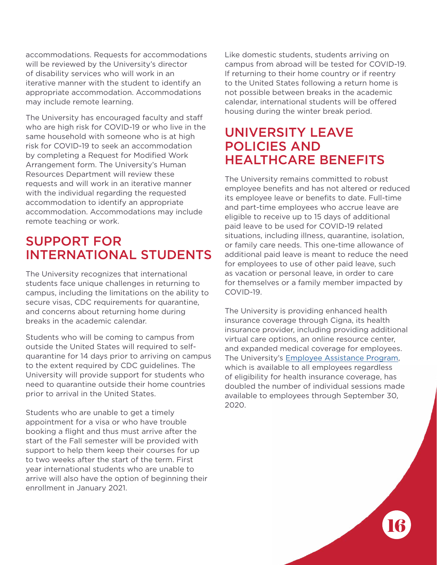accommodations. Requests for accommodations will be reviewed by the University's director of disability services who will work in an iterative manner with the student to identify an appropriate accommodation. Accommodations may include remote learning.

The University has encouraged faculty and staff who are high risk for COVID-19 or who live in the same household with someone who is at high risk for COVID-19 to seek an accommodation by completing a Request for Modified Work Arrangement form. The University's Human Resources Department will review these requests and will work in an iterative manner with the individual regarding the requested accommodation to identify an appropriate accommodation. Accommodations may include remote teaching or work.

### SUPPORT FOR INTERNATIONAL STUDENTS

The University recognizes that international students face unique challenges in returning to campus, including the limitations on the ability to secure visas, CDC requirements for quarantine, and concerns about returning home during breaks in the academic calendar.

Students who will be coming to campus from outside the United States will required to selfquarantine for 14 days prior to arriving on campus to the extent required by CDC guidelines. The University will provide support for students who need to quarantine outside their home countries prior to arrival in the United States.

Students who are unable to get a timely appointment for a visa or who have trouble booking a flight and thus must arrive after the start of the Fall semester will be provided with support to help them keep their courses for up to two weeks after the start of the term. First year international students who are unable to arrive will also have the option of beginning their enrollment in January 2021.

Like domestic students, students arriving on campus from abroad will be tested for COVID-19. If returning to their home country or if reentry to the United States following a return home is not possible between breaks in the academic calendar, international students will be offered housing during the winter break period.

#### UNIVERSITY LEAVE POLICIES AND HEALTHCARE BENEFITS

The University remains committed to robust employee benefits and has not altered or reduced its employee leave or benefits to date. Full-time and part-time employees who accrue leave are eligible to receive up to 15 days of additional paid leave to be used for COVID-19 related situations, including illness, quarantine, isolation, or family care needs. This one-time allowance of additional paid leave is meant to reduce the need for employees to use of other paid leave, such as vacation or personal leave, in order to care for themselves or a family member impacted by COVID-19.

The University is providing enhanced health insurance coverage through Cigna, its health insurance provider, including providing additional virtual care options, an online resource center, and expanded medical coverage for employees. The University's [Employee Assistance Program](https://hr.richmond.edu/benefits/work-life/employee-assistance/index.html), which is available to all employees regardless of eligibility for health insurance coverage, has doubled the number of individual sessions made available to employees through September 30, 2020.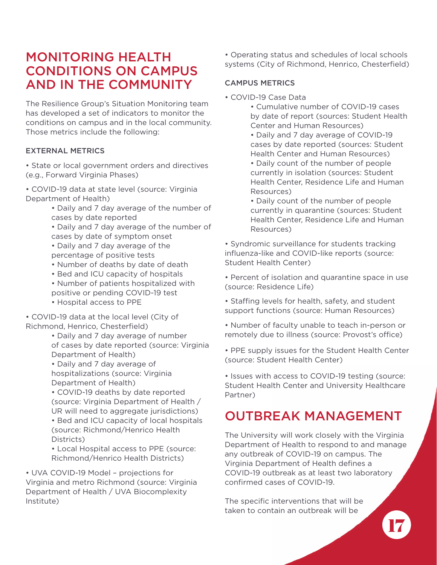#### MONITORING HEALTH CONDITIONS ON CAMPUS AND IN THE COMMUNITY

The Resilience Group's Situation Monitoring team has developed a set of indicators to monitor the conditions on campus and in the local community. Those metrics include the following:

#### EXTERNAL METRICS

• State or local government orders and directives (e.g., Forward Virginia Phases)

• COVID-19 data at state level (source: Virginia Department of Health)

• Daily and 7 day average of the number of cases by date reported

• Daily and 7 day average of the number of cases by date of symptom onset • Daily and 7 day average of the

percentage of positive tests

- Number of deaths by date of death
- Bed and ICU capacity of hospitals
- Number of patients hospitalized with positive or pending COVID-19 test
- Hospital access to PPE

• COVID-19 data at the local level (City of Richmond, Henrico, Chesterfield)

• Daily and 7 day average of number of cases by date reported (source: Virginia Department of Health)

• Daily and 7 day average of hospitalizations (source: Virginia Department of Health)

• COVID-19 deaths by date reported (source: Virginia Department of Health / UR will need to aggregate jurisdictions)

• Bed and ICU capacity of local hospitals (source: Richmond/Henrico Health Districts)

• Local Hospital access to PPE (source: Richmond/Henrico Health Districts)

• UVA COVID-19 Model – projections for Virginia and metro Richmond (source: Virginia Department of Health / UVA Biocomplexity Institute)

• Operating status and schedules of local schools systems (City of Richmond, Henrico, Chesterfield)

#### CAMPUS METRICS

• COVID-19 Case Data

• Cumulative number of COVID-19 cases by date of report (sources: Student Health Center and Human Resources)

• Daily and 7 day average of COVID-19 cases by date reported (sources: Student Health Center and Human Resources)

• Daily count of the number of people currently in isolation (sources: Student Health Center, Residence Life and Human Resources)

• Daily count of the number of people currently in quarantine (sources: Student Health Center, Residence Life and Human Resources)

• Syndromic surveillance for students tracking influenza-like and COVID-like reports (source: Student Health Center)

• Percent of isolation and quarantine space in use (source: Residence Life)

• Staffing levels for health, safety, and student support functions (source: Human Resources)

• Number of faculty unable to teach in-person or remotely due to illness (source: Provost's office)

• PPE supply issues for the Student Health Center (source: Student Health Center)

• Issues with access to COVID-19 testing (source: Student Health Center and University Healthcare Partner)

### OUTBREAK MANAGEMENT

The University will work closely with the Virginia Department of Health to respond to and manage any outbreak of COVID-19 on campus. The Virginia Department of Health defines a COVID-19 outbreak as at least two laboratory confirmed cases of COVID-19.

The specific interventions that will be taken to contain an outbreak will be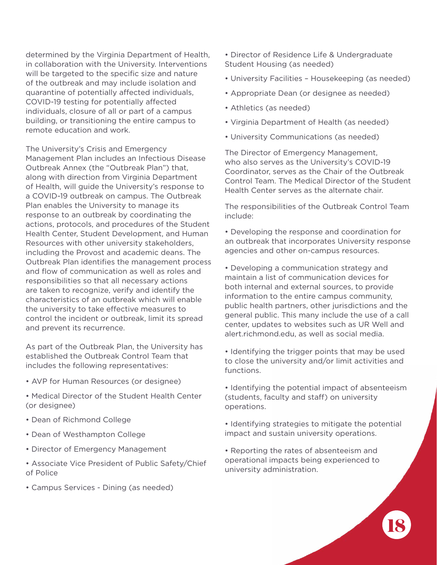determined by the Virginia Department of Health, in collaboration with the University. Interventions will be targeted to the specific size and nature of the outbreak and may include isolation and quarantine of potentially affected individuals, COVID-19 testing for potentially affected individuals, closure of all or part of a campus building, or transitioning the entire campus to remote education and work.

The University's Crisis and Emergency Management Plan includes an Infectious Disease Outbreak Annex (the "Outbreak Plan") that, along with direction from Virginia Department of Health, will guide the University's response to a COVID-19 outbreak on campus. The Outbreak Plan enables the University to manage its response to an outbreak by coordinating the actions, protocols, and procedures of the Student Health Center, Student Development, and Human Resources with other university stakeholders, including the Provost and academic deans. The Outbreak Plan identifies the management process and flow of communication as well as roles and responsibilities so that all necessary actions are taken to recognize, verify and identify the characteristics of an outbreak which will enable the university to take effective measures to control the incident or outbreak, limit its spread and prevent its recurrence.

As part of the Outbreak Plan, the University has established the Outbreak Control Team that includes the following representatives:

- AVP for Human Resources (or designee)
- Medical Director of the Student Health Center (or designee)
- Dean of Richmond College
- Dean of Westhampton College
- Director of Emergency Management
- Associate Vice President of Public Safety/Chief of Police
- Campus Services Dining (as needed)

• Director of Residence Life & Undergraduate Student Housing (as needed)

- University Facilities Housekeeping (as needed)
- Appropriate Dean (or designee as needed)
- Athletics (as needed)
- Virginia Department of Health (as needed)
- University Communications (as needed)

The Director of Emergency Management, who also serves as the University's COVID-19 Coordinator, serves as the Chair of the Outbreak Control Team. The Medical Director of the Student Health Center serves as the alternate chair.

The responsibilities of the Outbreak Control Team include:

• Developing the response and coordination for an outbreak that incorporates University response agencies and other on-campus resources.

• Developing a communication strategy and maintain a list of communication devices for both internal and external sources, to provide information to the entire campus community, public health partners, other jurisdictions and the general public. This many include the use of a call center, updates to websites such as UR Well and alert.richmond.edu, as well as social media.

- Identifying the trigger points that may be used to close the university and/or limit activities and functions.
- Identifying the potential impact of absenteeism (students, faculty and staff) on university operations.
- Identifying strategies to mitigate the potential impact and sustain university operations.
- Reporting the rates of absenteeism and operational impacts being experienced to university administration.

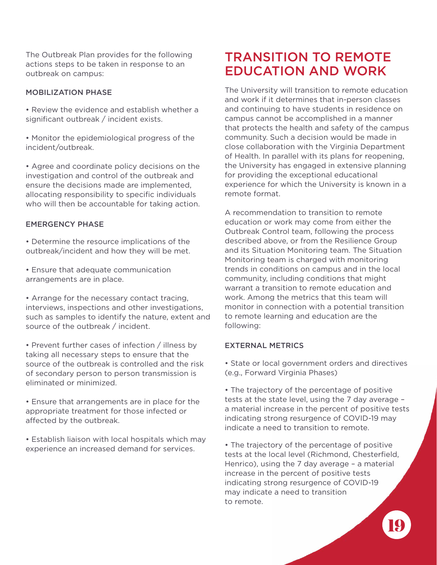The Outbreak Plan provides for the following actions steps to be taken in response to an outbreak on campus:

#### MOBILIZATION PHASE

• Review the evidence and establish whether a significant outbreak / incident exists.

• Monitor the epidemiological progress of the incident/outbreak.

• Agree and coordinate policy decisions on the investigation and control of the outbreak and ensure the decisions made are implemented, allocating responsibility to specific individuals who will then be accountable for taking action.

#### EMERGENCY PHASE

• Determine the resource implications of the outbreak/incident and how they will be met.

• Ensure that adequate communication arrangements are in place.

• Arrange for the necessary contact tracing, interviews, inspections and other investigations, such as samples to identify the nature, extent and source of the outbreak / incident.

• Prevent further cases of infection / illness by taking all necessary steps to ensure that the source of the outbreak is controlled and the risk of secondary person to person transmission is eliminated or minimized.

• Ensure that arrangements are in place for the appropriate treatment for those infected or affected by the outbreak.

• Establish liaison with local hospitals which may experience an increased demand for services.

#### TRANSITION TO REMOTE EDUCATION AND WORK

The University will transition to remote education and work if it determines that in-person classes and continuing to have students in residence on campus cannot be accomplished in a manner that protects the health and safety of the campus community. Such a decision would be made in close collaboration with the Virginia Department of Health. In parallel with its plans for reopening, the University has engaged in extensive planning for providing the exceptional educational experience for which the University is known in a remote format.

A recommendation to transition to remote education or work may come from either the Outbreak Control team, following the process described above, or from the Resilience Group and its Situation Monitoring team. The Situation Monitoring team is charged with monitoring trends in conditions on campus and in the local community, including conditions that might warrant a transition to remote education and work. Among the metrics that this team will monitor in connection with a potential transition to remote learning and education are the following:

#### EXTERNAL METRICS

• State or local government orders and directives (e.g., Forward Virginia Phases)

• The trajectory of the percentage of positive tests at the state level, using the 7 day average – a material increase in the percent of positive tests indicating strong resurgence of COVID-19 may indicate a need to transition to remote.

• The trajectory of the percentage of positive tests at the local level (Richmond, Chesterfield, Henrico), using the 7 day average – a material increase in the percent of positive tests indicating strong resurgence of COVID-19 may indicate a need to transition to remote.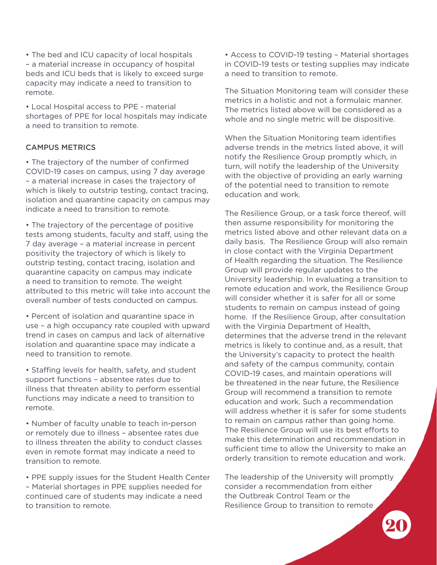• The bed and ICU capacity of local hospitals – a material increase in occupancy of hospital beds and ICU beds that is likely to exceed surge capacity may indicate a need to transition to remote.

• Local Hospital access to PPE - material shortages of PPE for local hospitals may indicate a need to transition to remote.

#### CAMPUS METRICS

• The trajectory of the number of confirmed COVID-19 cases on campus, using 7 day average – a material increase in cases the trajectory of which is likely to outstrip testing, contact tracing, isolation and quarantine capacity on campus may indicate a need to transition to remote.

• The trajectory of the percentage of positive tests among students, faculty and staff, using the 7 day average – a material increase in percent positivity the trajectory of which is likely to outstrip testing, contact tracing, isolation and quarantine capacity on campus may indicate a need to transition to remote. The weight attributed to this metric will take into account the overall number of tests conducted on campus.

• Percent of isolation and quarantine space in use – a high occupancy rate coupled with upward trend in cases on campus and lack of alternative isolation and quarantine space may indicate a need to transition to remote.

• Staffing levels for health, safety, and student support functions – absentee rates due to illness that threaten ability to perform essential functions may indicate a need to transition to remote.

• Number of faculty unable to teach in-person or remotely due to illness – absentee rates due to illness threaten the ability to conduct classes even in remote format may indicate a need to transition to remote.

• PPE supply issues for the Student Health Center – Material shortages in PPE supplies needed for continued care of students may indicate a need to transition to remote.

• Access to COVID-19 testing – Material shortages in COVID-19 tests or testing supplies may indicate a need to transition to remote.

The Situation Monitoring team will consider these metrics in a holistic and not a formulaic manner. The metrics listed above will be considered as a whole and no single metric will be dispositive.

When the Situation Monitoring team identifies adverse trends in the metrics listed above, it will notify the Resilience Group promptly which, in turn, will notify the leadership of the University with the objective of providing an early warning of the potential need to transition to remote education and work.

The Resilience Group, or a task force thereof, will then assume responsibility for monitoring the metrics listed above and other relevant data on a daily basis. The Resilience Group will also remain in close contact with the Virginia Department of Health regarding the situation. The Resilience Group will provide regular updates to the University leadership. In evaluating a transition to remote education and work, the Resilience Group will consider whether it is safer for all or some students to remain on campus instead of going home. If the Resilience Group, after consultation with the Virginia Department of Health, determines that the adverse trend in the relevant metrics is likely to continue and, as a result, that the University's capacity to protect the health and safety of the campus community, contain COVID-19 cases, and maintain operations will be threatened in the near future, the Resilience Group will recommend a transition to remote education and work. Such a recommendation will address whether it is safer for some students to remain on campus rather than going home. The Resilience Group will use its best efforts to make this determination and recommendation in sufficient time to allow the University to make an orderly transition to remote education and work.

The leadership of the University will promptly consider a recommendation from either the Outbreak Control Team or the Resilience Group to transition to remote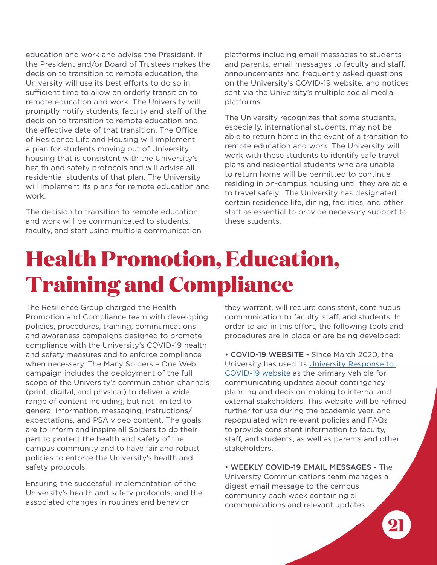education and work and advise the President. If the President and/or Board of Trustees makes the decision to transition to remote education, the University will use its best efforts to do so in sufficient time to allow an orderly transition to remote education and work. The University will promptly notify students, faculty and staff of the decision to transition to remote education and the effective date of that transition. The Office of Residence Life and Housing will implement a plan for students moving out of University housing that is consistent with the University's health and safety protocols and will advise all residential students of that plan. The University will implement its plans for remote education and work.

The decision to transition to remote education and work will be communicated to students, faculty, and staff using multiple communication platforms including email messages to students and parents, email messages to faculty and staff, announcements and frequently asked questions on the University's COVID-19 website, and notices sent via the University's multiple social media platforms.

The University recognizes that some students, especially, international students, may not be able to return home in the event of a transition to remote education and work. The University will work with these students to identify safe travel plans and residential students who are unable to return home will be permitted to continue residing in on-campus housing until they are able to travel safely. The University has designated certain residence life, dining, facilities, and other staff as essential to provide necessary support to these students.

## **Health Promotion, Education, Training and Compliance**

The Resilience Group charged the Health Promotion and Compliance team with developing policies, procedures, training, communications and awareness campaigns designed to promote compliance with the University's COVID-19 health and safety measures and to enforce compliance when necessary. The Many Spiders – One Web campaign includes the deployment of the full scope of the University's communication channels (print, digital, and physical) to deliver a wide range of content including, but not limited to general information, messaging, instructions/ expectations, and PSA video content. The goals are to inform and inspire all Spiders to do their part to protect the health and safety of the campus community and to have fair and robust policies to enforce the University's health and safety protocols.

Ensuring the successful implementation of the University's health and safety protocols, and the associated changes in routines and behavior

they warrant, will require consistent, continuous communication to faculty, staff, and students. In order to aid in this effort, the following tools and procedures are in place or are being developed:

• COVID-19 WEBSITE - Since March 2020, the University has used its [University Response to](https://www.richmond.edu/coronavirus/index.html)  [COVID-19 website](https://www.richmond.edu/coronavirus/index.html) as the primary vehicle for communicating updates about contingency planning and decision-making to internal and external stakeholders. This website will be refined further for use during the academic year, and repopulated with relevant policies and FAQs to provide consistent information to faculty, staff, and students, as well as parents and other stakeholders.

• WEEKLY COVID-19 EMAIL MESSAGES - The University Communications team manages a digest email message to the campus community each week containing all communications and relevant updates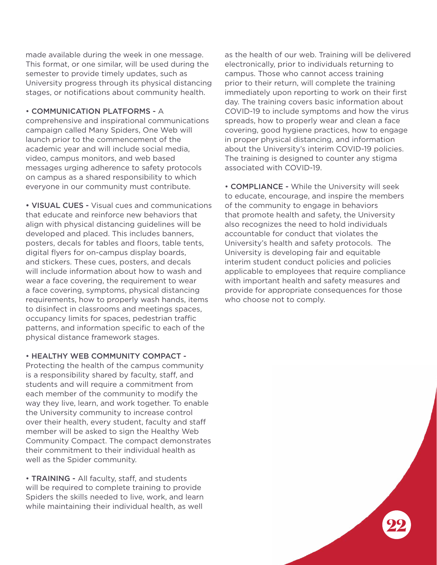made available during the week in one message. This format, or one similar, will be used during the semester to provide timely updates, such as University progress through its physical distancing stages, or notifications about community health.

• COMMUNICATION PLATFORMS - A

comprehensive and inspirational communications campaign called Many Spiders, One Web will launch prior to the commencement of the academic year and will include social media, video, campus monitors, and web based messages urging adherence to safety protocols on campus as a shared responsibility to which everyone in our community must contribute.

• VISUAL CUES - Visual cues and communications that educate and reinforce new behaviors that align with physical distancing guidelines will be developed and placed. This includes banners, posters, decals for tables and floors, table tents, digital flyers for on-campus display boards, and stickers. These cues, posters, and decals will include information about how to wash and wear a face covering, the requirement to wear a face covering, symptoms, physical distancing requirements, how to properly wash hands, items to disinfect in classrooms and meetings spaces, occupancy limits for spaces, pedestrian traffic patterns, and information specific to each of the physical distance framework stages.

#### • HEALTHY WEB COMMUNITY COMPACT -

Protecting the health of the campus community is a responsibility shared by faculty, staff, and students and will require a commitment from each member of the community to modify the way they live, learn, and work together. To enable the University community to increase control over their health, every student, faculty and staff member will be asked to sign the Healthy Web Community Compact. The compact demonstrates their commitment to their individual health as well as the Spider community.

• TRAINING - All faculty, staff, and students will be required to complete training to provide Spiders the skills needed to live, work, and learn while maintaining their individual health, as well

as the health of our web. Training will be delivered electronically, prior to individuals returning to campus. Those who cannot access training prior to their return, will complete the training immediately upon reporting to work on their first day. The training covers basic information about COVID-19 to include symptoms and how the virus spreads, how to properly wear and clean a face covering, good hygiene practices, how to engage in proper physical distancing, and information about the University's interim COVID-19 policies. The training is designed to counter any stigma associated with COVID-19.

• COMPLIANCE - While the University will seek to educate, encourage, and inspire the members of the community to engage in behaviors that promote health and safety, the University also recognizes the need to hold individuals accountable for conduct that violates the University's health and safety protocols. The University is developing fair and equitable interim student conduct policies and policies applicable to employees that require compliance with important health and safety measures and provide for appropriate consequences for those who choose not to comply.